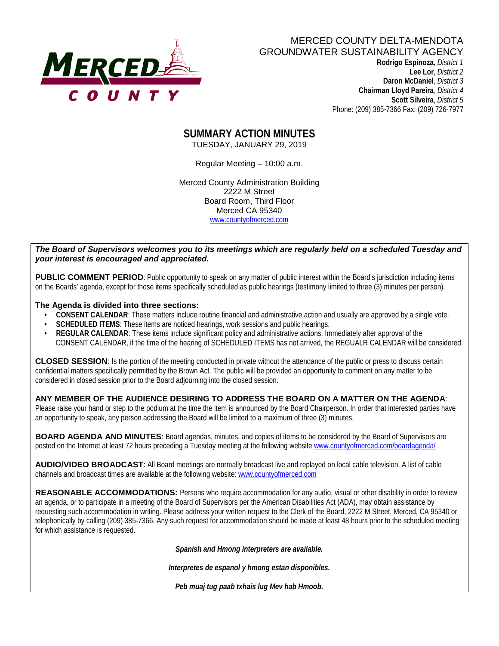

#### MERCED COUNTY DELTA-MENDOTA GROUNDWATER SUSTAINABILITY AGENCY

 **Rodrigo Espinoza**, *District 1*  **Lee Lor**, *District 2*  **Daron McDaniel**, *District 3* **Chairman Lloyd Pareira***, District 4*  **Scott Silveira**, *District 5* Phone: (209) 385-7366 Fax: (209) 726-7977

**SUMMARY ACTION MINUTES** TUESDAY, JANUARY 29, 2019

Regular Meeting – 10:00 a.m.

Merced County Administration Building 2222 M Street Board Room, Third Floor Merced CA 95340 www.countyofmerced.com

*The Board of Supervisors welcomes you to its meetings which are regularly held on a scheduled Tuesday and your interest is encouraged and appreciated.*

**PUBLIC COMMENT PERIOD**: Public opportunity to speak on any matter of public interest within the Board's jurisdiction including items on the Boards' agenda, except for those items specifically scheduled as public hearings (testimony limited to three (3) minutes per person).

#### **The Agenda is divided into three sections:**

- **CONSENT CALENDAR**: These matters include routine financial and administrative action and usually are approved by a single vote.
- **SCHEDULED ITEMS:** These items are noticed hearings, work sessions and public hearings.
- **REGULAR CALENDAR:** These items include significant policy and administrative actions. Immediately after approval of the CONSENT CALENDAR, if the time of the hearing of SCHEDULED ITEMS has not arrived, the REGUALR CALENDAR will be considered.

**CLOSED SESSION**: Is the portion of the meeting conducted in private without the attendance of the public or press to discuss certain confidential matters specifically permitted by the Brown Act. The public will be provided an opportunity to comment on any matter to be considered in closed session prior to the Board adjourning into the closed session.

#### **ANY MEMBER OF THE AUDIENCE DESIRING TO ADDRESS THE BOARD ON A MATTER ON THE AGENDA**:

Please raise your hand or step to the podium at the time the item is announced by the Board Chairperson. In order that interested parties have an opportunity to speak, any person addressing the Board will be limited to a maximum of three (3) minutes.

**BOARD AGENDA AND MINUTES:** Board agendas, minutes, and copies of items to be considered by the Board of Supervisors are posted on the Internet at least 72 hours preceding a Tuesday meeting at the following website [www.countyofmerced.com/boardagenda/](http://www.countyofmerced.com/boardagenda/) 

**AUDIO/VIDEO BROADCAST**: All Board meetings are normally broadcast live and replayed on local cable television. A list of cable channels and broadcast times are available at the following website[: www.countyofmerced.com](http://www.countyofmerced.com/)

**REASONABLE ACCOMMODATIONS:** Persons who require accommodation for any audio, visual or other disability in order to review an agenda, or to participate in a meeting of the Board of Supervisors per the American Disabilities Act (ADA), may obtain assistance by requesting such accommodation in writing. Please address your written request to the Clerk of the Board, 2222 M Street, Merced, CA 95340 or telephonically by calling (209) 385-7366. Any such request for accommodation should be made at least 48 hours prior to the scheduled meeting for which assistance is requested.

*Spanish and Hmong interpreters are available.*

*Interpretes de espanol y hmong estan disponibles.*

*Peb muaj tug paab txhais lug Mev hab Hmoob.*